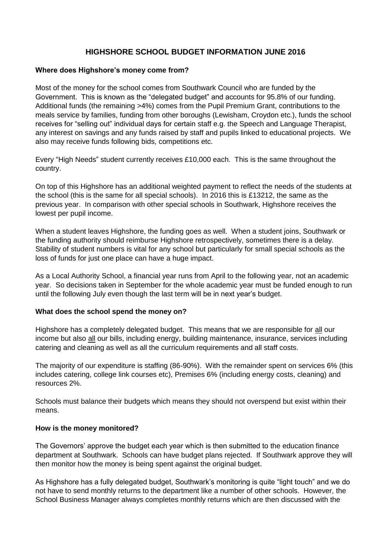## **HIGHSHORE SCHOOL BUDGET INFORMATION JUNE 2016**

## **Where does Highshore's money come from?**

Most of the money for the school comes from Southwark Council who are funded by the Government. This is known as the "delegated budget" and accounts for 95.8% of our funding. Additional funds (the remaining >4%) comes from the Pupil Premium Grant, contributions to the meals service by families, funding from other boroughs (Lewisham, Croydon etc.), funds the school receives for "selling out" individual days for certain staff e.g. the Speech and Language Therapist, any interest on savings and any funds raised by staff and pupils linked to educational projects. We also may receive funds following bids, competitions etc.

Every "High Needs" student currently receives £10,000 each. This is the same throughout the country.

On top of this Highshore has an additional weighted payment to reflect the needs of the students at the school (this is the same for all special schools). In 2016 this is £13212, the same as the previous year. In comparison with other special schools in Southwark, Highshore receives the lowest per pupil income.

When a student leaves Highshore, the funding goes as well. When a student joins, Southwark or the funding authority should reimburse Highshore retrospectively, sometimes there is a delay. Stability of student numbers is vital for any school but particularly for small special schools as the loss of funds for just one place can have a huge impact.

As a Local Authority School, a financial year runs from April to the following year, not an academic year. So decisions taken in September for the whole academic year must be funded enough to run until the following July even though the last term will be in next year's budget.

## **What does the school spend the money on?**

Highshore has a completely delegated budget. This means that we are responsible for all our income but also all our bills, including energy, building maintenance, insurance, services including catering and cleaning as well as all the curriculum requirements and all staff costs.

The majority of our expenditure is staffing (86-90%). With the remainder spent on services 6% (this includes catering, college link courses etc), Premises 6% (including energy costs, cleaning) and resources 2%.

Schools must balance their budgets which means they should not overspend but exist within their means.

## **How is the money monitored?**

The Governors' approve the budget each year which is then submitted to the education finance department at Southwark. Schools can have budget plans rejected. If Southwark approve they will then monitor how the money is being spent against the original budget.

As Highshore has a fully delegated budget, Southwark's monitoring is quite "light touch" and we do not have to send monthly returns to the department like a number of other schools. However, the School Business Manager always completes monthly returns which are then discussed with the